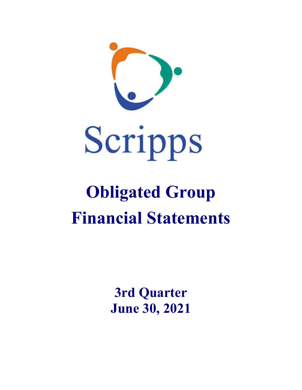



# **Obligated Group Financial Statements**

**3rd Quarter June 30, 2021**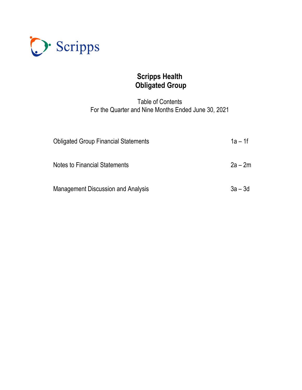

# **Scripps Health Obligated Group**

# Table of Contents For the Quarter and Nine Months Ended June 30, 2021

| <b>Obligated Group Financial Statements</b> | $1a - 1f$ |
|---------------------------------------------|-----------|
| Notes to Financial Statements               | $2a - 2m$ |
| <b>Management Discussion and Analysis</b>   | $3a - 3d$ |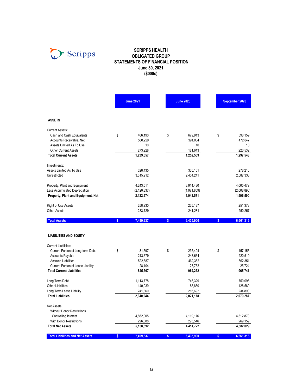

#### **SCRIPPS HEALTH OBLIGATED GROUP STATEMENTS OF FINANCIAL POSITION June 30, 2021 (\$000s)**

|                                           |              | <b>June 2021</b> | <b>June 2020</b> |             |              | September 2020 |  |
|-------------------------------------------|--------------|------------------|------------------|-------------|--------------|----------------|--|
| <b>ASSETS</b>                             |              |                  |                  |             |              |                |  |
| <b>Current Assets:</b>                    |              |                  |                  |             |              |                |  |
| Cash and Cash Equivalents                 | \$           | 466,190          | \$               | 679,913     | \$           | 598,159        |  |
| Accounts Receivable, Net                  |              | 500,229          |                  | 391,004     |              | 472,847        |  |
| Assets Limited As To Use                  |              | 10               |                  | 10          |              | 10             |  |
| <b>Other Current Assets</b>               |              | 273,228          |                  | 181,643     |              | 226,532        |  |
| <b>Total Current Assets</b>               |              | 1,239,657        |                  | 1,252,569   |              | 1,297,548      |  |
| Investments:                              |              |                  |                  |             |              |                |  |
| Assets Limited As To Use                  |              | 328,435          |                  | 330,101     |              | 278,210        |  |
| Unrestricted                              |              | 3,315,912        |                  | 2,434,241   |              | 2,587,338      |  |
| Property, Plant and Equipment             |              | 4,243,511        |                  | 3,914,430   |              | 4,005,479      |  |
| Less Accumulated Depreciation             |              | (2, 120, 837)    |                  | (1,971,859) |              | (2,008,890)    |  |
| Property, Plant and Equipment, Net        |              | 2,122,674        |                  | 1,942,571   |              | 1,996,590      |  |
| <b>Right of Use Assets</b>                |              | 258,930          |                  | 235,137     |              | 251,373        |  |
| <b>Other Assets</b>                       |              | 233,729          |                  | 241,281     |              | 250,257        |  |
| <b>Total Assets</b>                       | $\mathsf{s}$ | 7,499,337        | $\mathsf{s}$     | 6,435,900   | $\mathsf{s}$ | 6,661,316      |  |
| <b>LIABILITIES AND EQUITY</b>             |              |                  |                  |             |              |                |  |
| <b>Current Liabilities:</b>               |              |                  |                  |             |              |                |  |
| Current Portion of Long-term Debt         | \$           | 81,597           | \$               | 235,494     | \$           | 157,156        |  |
| <b>Accounts Payable</b>                   |              | 213,379          |                  | 243,664     |              | 220,510        |  |
| <b>Accrued Liabilities</b>                |              | 522,687          |                  | 462,362     |              | 562,351        |  |
| <b>Current Portion of Lease Liability</b> |              | 28,104           |                  | 27,752      |              | 25,724         |  |
| <b>Total Current Liabilities</b>          |              | 845,767          |                  | 969,272     |              | 965,741        |  |
| Long Term Debt                            |              | 1,113,778        |                  | 746,329     |              | 750,096        |  |
| <b>Other Liabilities</b>                  |              | 140,039          |                  | 88,880      |              | 128,560        |  |
| Long Term Lease Liability                 |              | 241,360          |                  | 216,697     |              | 234,890        |  |
| <b>Total Liabilities</b>                  |              | 2,340,944        |                  | 2,021,178   |              | 2,079,287      |  |
| Net Assets:                               |              |                  |                  |             |              |                |  |
| <b>Without Donor Restrictions</b>         |              |                  |                  |             |              |                |  |
| Controlling Interest                      |              | 4,862,005        |                  | 4,119,176   |              | 4,312,870      |  |
| <b>With Donor Restrictions</b>            |              | 296,388          |                  | 295,546     |              | 269,159        |  |
| <b>Total Net Assets</b>                   |              | 5,158,392        |                  | 4,414,722   |              | 4,582,029      |  |
| <b>Total Liabilities and Net Assets</b>   | $\mathsf{s}$ | 7,499,337        | \$               | 6,435,900   | \$           | 6,661,316      |  |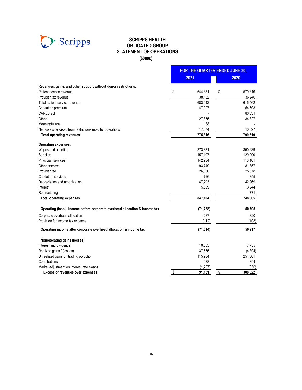

#### **SCRIPPS HEALTH OBLIGATED GROUP STATEMENT OF OPERATIONS (\$000s)**

|                                                                             | FOR THE QUARTER ENDED JUNE 30, |      |          |  |
|-----------------------------------------------------------------------------|--------------------------------|------|----------|--|
|                                                                             | 2021                           | 2020 |          |  |
| Revenues, gains, and other support without donor restrictions:              |                                |      |          |  |
| Patient service revenue                                                     | \$<br>644,881                  | \$   | 579,316  |  |
| Provider tax revenue                                                        | 38,162                         |      | 36,246   |  |
| Total patient service revenue                                               | 683,042                        |      | 615,562  |  |
| Capitation premium                                                          | 47,007                         |      | 54,693   |  |
| CARES act                                                                   |                                |      | 83,331   |  |
| Other                                                                       | 27,855                         |      | 34,827   |  |
| Meaningful use                                                              | 38                             |      |          |  |
| Net assets released from restrictions used for operations                   | 17,374                         |      | 10,897   |  |
| <b>Total operating revenues</b>                                             | 775,316                        |      | 799,310  |  |
| <b>Operating expenses:</b>                                                  |                                |      |          |  |
| Wages and benefits                                                          | 373,331                        |      | 350,639  |  |
| Supplies                                                                    | 157,107                        |      | 129,290  |  |
| Physician services                                                          | 142.934                        |      | 113,101  |  |
| Other services                                                              | 93.749                         |      | 81,857   |  |
| Provider fee                                                                | 26,866                         |      | 25,678   |  |
| Capitation services                                                         | 726                            |      | 355      |  |
| Depreciation and amortization                                               | 47,293                         |      | 42,969   |  |
| Interest                                                                    | 5,099                          |      | 3,944    |  |
| Restructuring                                                               |                                |      | 771      |  |
| <b>Total operating expenses</b>                                             | 847,104                        |      | 748,605  |  |
| Operating (loss) / income before corporate overhead allocation & income tax | (71, 788)                      |      | 50,705   |  |
| Corporate overhead allocation                                               | 287                            |      | 320      |  |
| Provision for income tax expense                                            | (112)                          |      | (108)    |  |
| Operating income after corporate overhead allocation & income tax           | (71, 614)                      |      | 50,917   |  |
| Nonoperating gains (losses):                                                |                                |      |          |  |
| Interest and dividends                                                      | 10,335                         |      | 7,755    |  |
| Realized gains / (losses)                                                   | 37,665                         |      | (4, 394) |  |
| Unrealized gains on trading portfolio                                       | 115,984                        |      | 254,301  |  |
| Contributions                                                               | 488                            |      | 894      |  |
| Market adjustment on Interest rate swaps                                    | (1,707)                        |      | (850)    |  |
| Excess of revenues over expenses                                            | \$<br>91,151                   | \$   | 308,622  |  |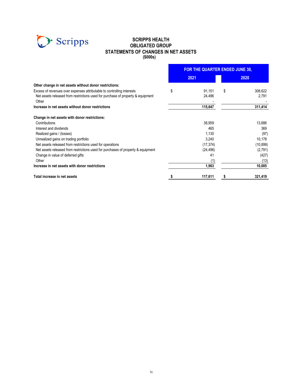

#### **SCRIPPS HEALTH STATEMENTS OF CHANGES IN NET ASSETS (\$000s) OBLIGATED GROUP**

|                                                                                          | <b>FOR THE QUARTER ENDED JUNE 30.</b> |           |      |           |  |
|------------------------------------------------------------------------------------------|---------------------------------------|-----------|------|-----------|--|
|                                                                                          |                                       | 2021      | 2020 |           |  |
| Other change in net assets without donor restrictions:                                   |                                       |           |      |           |  |
| Excess of revenues over expenses attributable to controlling interests                   | \$                                    | 91,151    | \$   | 308,622   |  |
| Net assets released from restrictions used for purchase of property & equipment<br>Other |                                       | 24,496    |      | 2,791     |  |
| Increase in net assets without donor restrictions                                        |                                       | 115,647   |      | 311,414   |  |
| Change in net assets with donor restrictions:                                            |                                       |           |      |           |  |
| Contributions                                                                            |                                       | 38,959    |      | 13,686    |  |
| Interest and dividends                                                                   |                                       | 465       |      | 369       |  |
| Realized gains / (losses)                                                                |                                       | 1,130     |      | (97)      |  |
| Unrealized gains on trading portfolio                                                    |                                       | 3,240     |      | 10,178    |  |
| Net assets released from restrictions used for operations                                |                                       | (17, 374) |      | (10, 899) |  |
| Net assets released from restrictions used for purchases of property & equipment         |                                       | (24, 496) |      | (2,791)   |  |
| Change in value of deferred gifts                                                        |                                       | 41        |      | (427)     |  |
| Other                                                                                    |                                       | (1)       |      | (13)      |  |
| Increase in net assets with donor restrictions                                           |                                       | 1,963     |      | 10,005    |  |
| Total increase in net assets                                                             |                                       | 117,611   |      | 321,419   |  |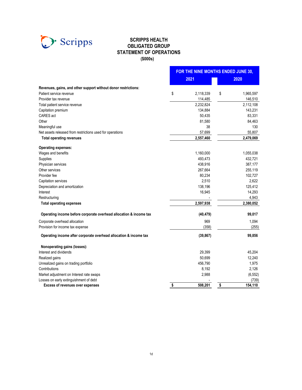

#### **SCRIPPS HEALTH OBLIGATED GROUP STATEMENT OF OPERATIONS (\$000s)**

|                                                                    |                 | FOR THE NINE MONTHS ENDED JUNE 30, |
|--------------------------------------------------------------------|-----------------|------------------------------------|
|                                                                    | 2021            | 2020                               |
| Revenues, gains, and other support without donor restrictions:     |                 |                                    |
| Patient service revenue                                            | \$<br>2,118,339 | \$<br>1,965,597                    |
| Provider tax revenue                                               | 114,485         | 146,510                            |
| Total patient service revenue                                      | 2,232,824       | 2,112,108                          |
| Capitation premium                                                 | 134,884         | 143,231                            |
| <b>CARES</b> act                                                   | 50,435          | 83,331                             |
| Other                                                              | 81,580          | 84,463                             |
| Meaningful use                                                     | 38              | 130                                |
| Net assets released from restrictions used for operations          | 57,699          | 55,807                             |
| <b>Total operating revenues</b>                                    | 2,557,460       | 2,479,069                          |
| <b>Operating expenses:</b>                                         |                 |                                    |
| Wages and benefits                                                 | 1,160,000       | 1,055,038                          |
| Supplies                                                           | 493,473         | 432,721                            |
| Physician services                                                 | 438,916         | 387,177                            |
| Other services                                                     | 267,664         | 255,119                            |
| Provider fee                                                       | 80,234          | 102,727                            |
| Capitation services                                                | 2,510           | 2,622                              |
| Depreciation and amortization                                      | 138,196         | 125,412                            |
| Interest                                                           | 16,945          | 14,293                             |
| Restructuring                                                      |                 | 4,943                              |
| <b>Total operating expenses</b>                                    | 2,597,938       | 2,380,052                          |
| Operating income before corporate overhead allocation & income tax | (40, 479)       | 99,017                             |
| Corporate overhead allocation                                      | 969             | 1,094                              |
| Provision for income tax expense                                   | (358)           | (255)                              |
| Operating income after corporate overhead allocation & income tax  | (39, 867)       | 99,856                             |
| Nonoperating gains (losses):                                       |                 |                                    |
| Interest and dividends                                             | 29,399          | 45,204                             |
| Realized gains                                                     | 50,699          | 12,240                             |
| Unrealized gains on trading portfolio                              | 456,790         | 1,975                              |
| Contributions                                                      | 8,192           | 2,126                              |
| Market adjustment on Interest rate swaps                           | 2,988           | (6, 552)                           |
| Losses on early extinguishment of debt                             |                 | (739)                              |
| <b>Excess of revenues over expenses</b>                            | \$<br>508,201   | \$<br>154,110                      |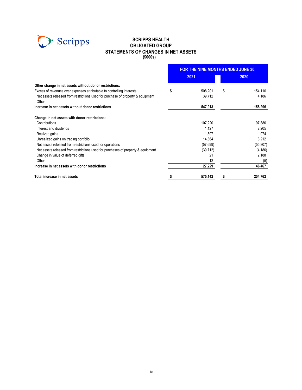

#### **SCRIPPS HEALTH STATEMENTS OF CHANGES IN NET ASSETS (\$000s) OBLIGATED GROUP**

|                                                                                                                                                                    | FOR THE NINE MONTHS ENDED JUNE 30, |                   |    |                  |
|--------------------------------------------------------------------------------------------------------------------------------------------------------------------|------------------------------------|-------------------|----|------------------|
|                                                                                                                                                                    |                                    | 2021              |    | 2020             |
| Other change in net assets without donor restrictions:                                                                                                             |                                    |                   |    |                  |
| Excess of revenues over expenses attributable to controlling interests<br>Net assets released from restrictions used for purchase of property & equipment<br>Other | \$                                 | 508.201<br>39,712 | \$ | 154,110<br>4.186 |
| Increase in net assets without donor restrictions                                                                                                                  |                                    | 547,913           |    | 158,296          |
| Change in net assets with donor restrictions:                                                                                                                      |                                    |                   |    |                  |
| Contributions                                                                                                                                                      |                                    | 107,220           |    | 97,886           |
| Interest and dividends                                                                                                                                             |                                    | 1.127             |    | 2.205            |
| Realized gains                                                                                                                                                     |                                    | 1,897             |    | 974              |
| Unrealized gains on trading portfolio                                                                                                                              |                                    | 14,364            |    | 3,212            |
| Net assets released from restrictions used for operations                                                                                                          |                                    | (57, 699)         |    | (55, 807)        |
| Net assets released from restrictions used for purchases of property & equipment                                                                                   |                                    | (39, 712)         |    | (4, 186)         |
| Change in value of deferred gifts                                                                                                                                  |                                    | 21                |    | 2,188            |
| Other                                                                                                                                                              |                                    | 12                |    | (5)              |
| Increase in net assets with donor restrictions                                                                                                                     |                                    | 27,229            |    | 46,467           |
| Total increase in net assets                                                                                                                                       |                                    | 575,142           |    | 204,762          |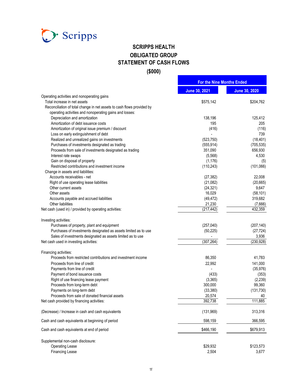

# **SCRIPPS HEALTH OBLIGATED GROUP STATEMENT OF CASH FLOWS**

**(\$000)**

|                                                                        | <b>For the Nine Months Ended</b> |                      |
|------------------------------------------------------------------------|----------------------------------|----------------------|
|                                                                        | <b>June 30, 2021</b>             | <b>June 30, 2020</b> |
| Operating activities and nonoperating gains                            |                                  |                      |
| Total increase in net assets                                           | \$575,142                        | \$204,762            |
| Reconciliation of total change in net assets to cash flows provided by |                                  |                      |
| operating activities and nonoperating gains and losses:                |                                  |                      |
| Depreciation and amortization                                          | 138,196                          | 125,412              |
| Amortization of debt issuance costs                                    | 195                              | 205                  |
| Amortization of original issue premium / discount                      | (416)                            | (116)                |
| Loss on early extinguishment of debt                                   | $\blacksquare$                   | 739                  |
| Realized and unrealized gains on investments                           | (523, 750)                       | (18, 401)            |
| Purchases of investments designated as trading                         | (555, 914)                       | (705, 535)           |
| Proceeds from sale of investments designated as trading                | 351,090                          | 656,930              |
| Interest rate swaps                                                    | (5,568)                          | 4,530                |
| Gain on disposal of property                                           | (1, 176)                         | (5)                  |
| Restricted contributions and investment income                         | (110, 243)                       | (101,066)            |
| Change in assets and liabilities:                                      |                                  |                      |
| Accounts receivables - net                                             | (27, 382)                        | 22,008               |
| Right of use operating lease liabilities                               | (21,082)                         | (20, 665)            |
| Other current assets                                                   | (24, 321)                        | 9,647                |
| Other assets                                                           | 16,029                           | (58, 101)            |
| Accounts payable and accrued liabilities                               | (49, 472)                        | 319,682              |
| Other liabilities                                                      | 21,230                           |                      |
|                                                                        |                                  | (7,666)              |
| Net cash (used in) / provided by operating activities:                 | (217, 442)                       | 432,359              |
| Investing activities:                                                  |                                  |                      |
| Purchases of property, plant and equipment                             | (257,040)                        | (207, 140)           |
| Purchases of investments designated as assets limited as to use        | (50, 225)                        | (27, 724)            |
| Sales of investments designated as assets limited as to use            |                                  | 3,936                |
| Net cash used in investing activities:                                 | (307, 264)                       | (230, 928)           |
| Financing activities:                                                  |                                  |                      |
| Proceeds from restricted contributions and investment income           | 86,350                           | 41,783               |
| Proceeds from line of credit                                           | 22,992                           | 141,000              |
| Payments from line of credit                                           |                                  | (35, 976)            |
| Payment of bond issuance costs                                         | (433)                            | (353)                |
| Right of use financing lease payment                                   | (3,365)                          | (2, 239)             |
| Proceeds from long-term debt                                           | 300,000                          | 99,360               |
| Payments on long-term debt                                             |                                  |                      |
|                                                                        | (33, 380)                        | (131, 730)           |
| Proceeds from sale of donated financial assets                         | 20,574                           | 40                   |
| Net cash provided by financing activities:                             | 392,738                          | 111,885              |
| (Decrease) / Increase in cash and cash equivalents                     | (131, 969)                       | 313,316              |
| Cash and cash equivalents at beginning of period                       | 598,159                          | 366,595              |
| Cash and cash equivalents at end of period                             | \$466,190                        | \$679,913            |
| Supplemental non-cash disclosure:                                      |                                  |                      |
| <b>Operating Lease</b>                                                 | \$29,932                         | \$123,573            |
| <b>Financing Lease</b>                                                 | 2,504                            | 3,677                |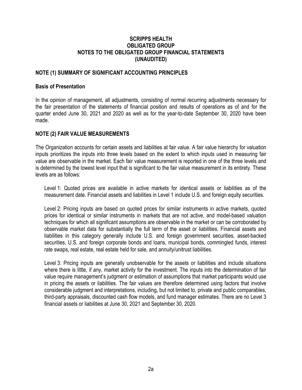#### **SCRIPPS HEALTH OBLIGATED GROUP NOTES TO THE OBLIGATED GROUP FINANCIAL STATEMENTS (UNAUDITED)**

#### **NOTE (1) SUMMARY OF SIGNIFICANT ACCOUNTING PRINCIPLES**

#### **Basis of Presentation**

In the opinion of management, all adjustments, consisting of normal recurring adjustments necessary for the fair presentation of the statements of financial position and results of operations as of and for the quarter ended June 30, 2021 and 2020 as well as for the year-to-date September 30, 2020 have been made.

#### **NOTE (2) FAIR VALUE MEASUREMENTS**

The Organization accounts for certain assets and liabilities at fair value. A fair value hierarchy for valuation inputs prioritizes the inputs into three levels based on the extent to which inputs used in measuring fair value are observable in the market. Each fair value measurement is reported in one of the three levels and is determined by the lowest level input that is significant to the fair value measurement in its entirety. These levels are as follows:

Level 1: Quoted prices are available in active markets for identical assets or liabilities as of the measurement date. Financial assets and liabilities in Level 1 include U.S. and foreign equity securities.

Level 2: Pricing inputs are based on quoted prices for similar instruments in active markets, quoted prices for identical or similar instruments in markets that are not active, and model-based valuation techniques for which all significant assumptions are observable in the market or can be corroborated by observable market data for substantially the full term of the asset or liabilities. Financial assets and liabilities in this category generally include U.S. and foreign government securities, asset-backed securities, U.S. and foreign corporate bonds and loans, municipal bonds, commingled funds, interest rate swaps, real estate, real estate held for sale, and annuity/unitrust liabilities.

Level 3: Pricing inputs are generally unobservable for the assets or liabilities and include situations where there is little, if any, market activity for the investment. The inputs into the determination of fair value require management's judgment or estimation of assumptions that market participants would use in pricing the assets or liabilities. The fair values are therefore determined using factors that involve considerable judgment and interpretations, including, but not limited to, private and public comparables, third-party appraisals, discounted cash flow models, and fund manager estimates. There are no Level 3 financial assets or liabilities at June 30, 2021 and September 30, 2020.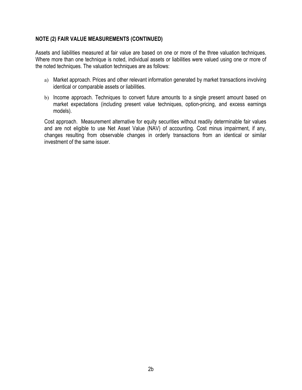Assets and liabilities measured at fair value are based on one or more of the three valuation techniques. Where more than one technique is noted, individual assets or liabilities were valued using one or more of the noted techniques. The valuation techniques are as follows:

- a) Market approach. Prices and other relevant information generated by market transactions involving identical or comparable assets or liabilities.
- b) Income approach. Techniques to convert future amounts to a single present amount based on market expectations (including present value techniques, option-pricing, and excess earnings models).

Cost approach. Measurement alternative for equity securities without readily determinable fair values and are not eligible to use Net Asset Value (NAV) of accounting. Cost minus impairment, if any, changes resulting from observable changes in orderly transactions from an identical or similar investment of the same issuer.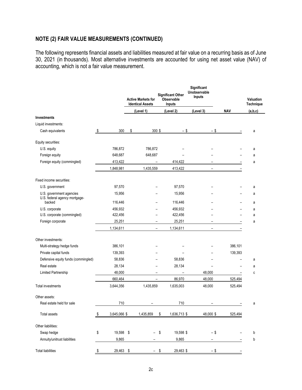The following represents financial assets and liabilities measured at fair value on a recurring basis as of June 30, 2021 (in thousands). Most alternative investments are accounted for using net asset value (NAV) of accounting, which is not a fair value measurement.

|                                         |    |              | <b>Active Markets for</b><br><b>Identical Assets</b> |                          | <b>Significant Other</b><br>Observable<br><b>Inputs</b> | Significant<br>Unobservable<br>Inputs |                          |            | Valuation<br><b>Technique</b> |
|-----------------------------------------|----|--------------|------------------------------------------------------|--------------------------|---------------------------------------------------------|---------------------------------------|--------------------------|------------|-------------------------------|
|                                         |    |              | (Level 1)                                            |                          | (Level 2)                                               | (Level 3)                             |                          | <b>NAV</b> | (a,b,c)                       |
| <b>Investments</b>                      |    |              |                                                      |                          |                                                         |                                       |                          |            |                               |
| Liquid investments:                     |    |              |                                                      |                          |                                                         |                                       |                          |            |                               |
| Cash equivalents                        | \$ | 300          | \$                                                   | 300 \$                   | $-$ \$                                                  |                                       | $-$ \$                   |            | a                             |
| Equity securities:                      |    |              |                                                      |                          |                                                         |                                       |                          |            |                               |
| U.S. equity                             |    | 786,872      | 786,872                                              |                          |                                                         |                                       |                          |            | a                             |
| Foreign equity                          |    | 648,687      | 648,687                                              |                          |                                                         |                                       |                          |            | a                             |
| Foreign equity (commingled)             |    | 413,422      |                                                      |                          | 414,422                                                 |                                       |                          |            | a                             |
|                                         |    | 1,848,981    | 1,435,559                                            |                          | 413,422                                                 |                                       | $\qquad \qquad -$        |            |                               |
| Fixed income securities:                |    |              |                                                      |                          |                                                         |                                       |                          |            |                               |
| U.S. government                         |    | 97,570       |                                                      |                          | 97,570                                                  |                                       |                          |            | a                             |
| U.S. government agencies                |    | 15,956       |                                                      |                          | 15,956                                                  |                                       |                          |            | a                             |
| U.S. federal agency mortgage-<br>backed |    | 116,446      |                                                      |                          | 116,446                                                 |                                       |                          |            | a                             |
| U.S. corporate                          |    | 456,932      |                                                      |                          | 456,932                                                 |                                       |                          |            | а                             |
| U.S. corporate (commingled)             |    | 422,456      |                                                      |                          | 422,456                                                 |                                       |                          |            | a                             |
| Foreign corporate                       |    | 25,251       |                                                      | $\qquad \qquad -$        | 25,251                                                  |                                       | $\overline{\phantom{0}}$ |            | a                             |
|                                         |    | 1,134,611    |                                                      | $\qquad \qquad -$        | 1,134,611                                               |                                       |                          |            |                               |
| Other investments:                      |    |              |                                                      |                          |                                                         |                                       |                          |            |                               |
| Multi-strategy hedge funds              |    | 386,101      |                                                      |                          |                                                         |                                       |                          | 386,101    |                               |
| Private capital funds                   |    | 139,393      |                                                      |                          |                                                         |                                       |                          | 139,393    |                               |
| Defensive equity funds (commingled)     |    | 58,836       |                                                      |                          | 58,836                                                  |                                       |                          |            | а                             |
| Real estate                             |    | 28,134       |                                                      |                          | 28,134                                                  |                                       |                          |            | a                             |
| Limited Partnership                     |    | 48,000       |                                                      |                          | $\overline{\phantom{0}}$                                | 48,000                                |                          |            | C                             |
|                                         |    | 660,464      |                                                      | $\overline{\phantom{0}}$ | 86,970                                                  | 48,000                                |                          | 525,494    |                               |
| <b>Total investments</b>                |    | 3,644,356    | 1,435,859                                            |                          | 1,635,003                                               | 48,000                                |                          | 525,494    |                               |
| Other assets:                           |    |              |                                                      |                          |                                                         |                                       |                          |            |                               |
| Real estate held for sale               |    | 710          |                                                      |                          | 710                                                     |                                       |                          |            | а                             |
| <b>Total assets</b>                     | \$ | 3,645,066 \$ | 1,435,859                                            | \$                       | 1,636,713 \$                                            | 48,000 \$                             |                          | 525,494    |                               |
| Other liabilities:                      |    |              |                                                      |                          |                                                         |                                       |                          |            |                               |
| Swap hedge                              | \$ | 19,598 \$    |                                                      | \$                       | 19,598 \$                                               |                                       | $-$ \$                   |            | b                             |
| Annuity/unitrust liabilities            |    | 9,865        |                                                      |                          | 9,865                                                   |                                       | -                        |            | b                             |
| <b>Total liabilities</b>                | \$ | 29,463 \$    |                                                      | - \$                     | 29,463 \$                                               |                                       | $-$ \$                   |            |                               |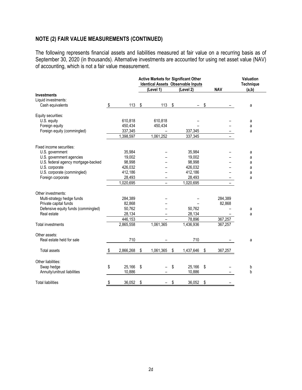The following represents financial assets and liabilities measured at fair value on a recurring basis as of September 30, 2020 (in thousands). Alternative investments are accounted for using net asset value (NAV) of accounting, which is not a fair value measurement.

|                                     |                 | <b>Active Markets for Significant Other</b><br>Identical Assets Observable Inputs |           |    |           |    |            | Valuation<br><b>Technique</b> |
|-------------------------------------|-----------------|-----------------------------------------------------------------------------------|-----------|----|-----------|----|------------|-------------------------------|
|                                     |                 |                                                                                   | (Level 1) |    | (Level 2) |    | <b>NAV</b> | (a,b)                         |
| <b>Investments</b>                  |                 |                                                                                   |           |    |           |    |            |                               |
| Liquid investments:                 |                 |                                                                                   |           |    |           |    |            |                               |
| Cash equivalents                    | \$<br>$113$ \$  |                                                                                   | 113       | \$ |           | \$ |            | a                             |
| Equity securities:                  |                 |                                                                                   |           |    |           |    |            |                               |
| U.S. equity                         | 610,818         |                                                                                   | 610,818   |    |           |    |            | а                             |
| Foreign equity                      | 450,434         |                                                                                   | 450,434   |    |           |    |            | a                             |
| Foreign equity (commingled)         | 337,345         |                                                                                   |           |    | 337,345   |    |            | a                             |
|                                     | 1,398,597       |                                                                                   | 1,061,252 |    | 337,345   |    |            |                               |
| Fixed income securities:            |                 |                                                                                   |           |    |           |    |            |                               |
| U.S. government                     | 35,984          |                                                                                   |           |    | 35,984    |    |            | а                             |
| U.S. government agencies            | 19,002          |                                                                                   |           |    | 19,002    |    |            | a                             |
| U.S. federal agency mortgage-backed | 98,998          |                                                                                   |           |    | 98,998    |    |            | a                             |
| U.S. corporate                      | 426,032         |                                                                                   |           |    | 426,032   |    |            | a                             |
| U.S. corporate (commingled)         | 412,186         |                                                                                   |           |    | 412,186   |    |            | a                             |
| Foreign corporate                   | 28,493          |                                                                                   |           |    | 28,493    |    |            | a                             |
|                                     | 1,020,695       |                                                                                   |           |    | 1,020,695 |    |            |                               |
| Other investments:                  |                 |                                                                                   |           |    |           |    |            |                               |
| Multi-strategy hedge funds          | 284,389         |                                                                                   |           |    |           |    | 284,389    |                               |
| Private capital funds               | 82,868          |                                                                                   |           |    |           |    | 82,868     |                               |
| Defensive equity funds (commingled) | 50,762          |                                                                                   |           |    | 50,762    |    |            | а                             |
| Real estate                         | 28,134          |                                                                                   |           |    | 28,134    |    |            | a                             |
|                                     | 446,153         |                                                                                   |           |    | 78,896    |    | 367,257    |                               |
| <b>Total investments</b>            | 2,865,558       |                                                                                   | 1,061,365 |    | 1,436,936 |    | 367,257    |                               |
| Other assets:                       |                 |                                                                                   |           |    |           |    |            |                               |
| Real estate held for sale           | 710             |                                                                                   |           |    | 710       |    |            | a                             |
| <b>Total assets</b>                 | \$<br>2,866,268 | \$                                                                                | 1,061,365 | \$ | 1,437,646 | \$ | 367,257    |                               |
| Other liabilities:                  |                 |                                                                                   |           |    |           |    |            |                               |
|                                     | \$<br>25,166    | \$                                                                                |           | \$ | 25,166    | \$ |            |                               |
| Swap hedge                          | 10,886          |                                                                                   |           |    | 10,886    |    |            | b<br>b                        |
| Annuity/unitrust liabilities        |                 |                                                                                   |           |    |           |    |            |                               |
| <b>Total liabilities</b>            | \$<br>36,052    | \$                                                                                |           | \$ | 36,052    | \$ |            |                               |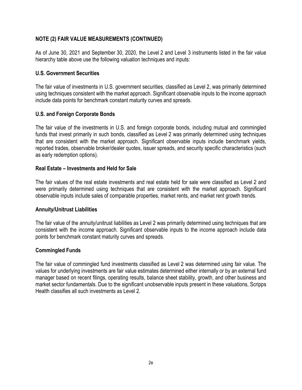As of June 30, 2021 and September 30, 2020, the Level 2 and Level 3 instruments listed in the fair value hierarchy table above use the following valuation techniques and inputs:

#### **U.S. Government Securities**

The fair value of investments in U.S. government securities, classified as Level 2, was primarily determined using techniques consistent with the market approach. Significant observable inputs to the income approach include data points for benchmark constant maturity curves and spreads.

#### **U.S. and Foreign Corporate Bonds**

The fair value of the investments in U.S. and foreign corporate bonds, including mutual and commingled funds that invest primarily in such bonds, classified as Level 2 was primarily determined using techniques that are consistent with the market approach. Significant observable inputs include benchmark yields, reported trades, observable broker/dealer quotes, issuer spreads, and security specific characteristics (such as early redemption options).

#### **Real Estate – Investments and Held for Sale**

The fair values of the real estate investments and real estate held for sale were classified as Level 2 and were primarily determined using techniques that are consistent with the market approach. Significant observable inputs include sales of comparable properties, market rents, and market rent growth trends.

### **Annuity/Unitrust Liabilities**

The fair value of the annuity/unitrust liabilities as Level 2 was primarily determined using techniques that are consistent with the income approach. Significant observable inputs to the income approach include data points for benchmark constant maturity curves and spreads.

#### **Commingled Funds**

The fair value of commingled fund investments classified as Level 2 was determined using fair value. The values for underlying investments are fair value estimates determined either internally or by an external fund manager based on recent filings, operating results, balance sheet stability, growth, and other business and market sector fundamentals. Due to the significant unobservable inputs present in these valuations, Scripps Health classifies all such investments as Level 2.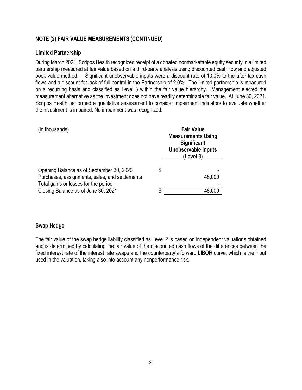#### **Limited Partnership**

During March 2021, Scripps Health recognized receipt of a donated nonmarketable equity security in a limited partnership measured at fair value based on a third-party analysis using discounted cash flow and adjusted book value method. Significant unobservable inputs were a discount rate of 10.0% to the after-tax cash flows and a discount for lack of full control in the Partnership of 2.0%. The limited partnership is measured on a recurring basis and classified as Level 3 within the fair value hierarchy. Management elected the measurement alternative as the investment does not have readily determinable fair value. At June 30, 2021, Scripps Health performed a qualitative assessment to consider impairment indicators to evaluate whether the investment is impaired. No impairment was recognized.

| (in thousands)                                                                             |    | <b>Fair Value</b><br><b>Measurements Using</b><br>Significant<br><b>Unobservable Inputs</b><br>(Level 3) |  |
|--------------------------------------------------------------------------------------------|----|----------------------------------------------------------------------------------------------------------|--|
| Opening Balance as of September 30, 2020<br>Purchases, assignments, sales, and settlements | S  | 48,000                                                                                                   |  |
| Total gains or losses for the period<br>Closing Balance as of June 30, 2021                | S. |                                                                                                          |  |

#### **Swap Hedge**

The fair value of the swap hedge liability classified as Level 2 is based on independent valuations obtained and is determined by calculating the fair value of the discounted cash flows of the differences between the fixed interest rate of the interest rate swaps and the counterparty's forward LIBOR curve, which is the input used in the valuation, taking also into account any nonperformance risk.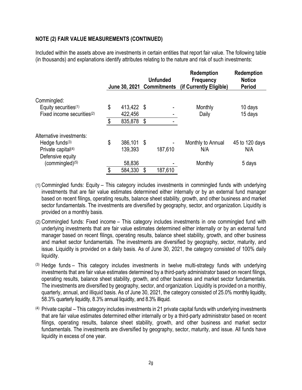Included within the assets above are investments in certain entities that report fair value. The following table (in thousands) and explanations identify attributes relating to the nature and risk of such investments:

|                                        |               |    | <b>Unfunded</b><br>June 30, 2021 Commitments | <b>Redemption</b><br><b>Frequency</b><br>(if Currently Eligible) | <b>Redemption</b><br><b>Notice</b><br><b>Period</b> |
|----------------------------------------|---------------|----|----------------------------------------------|------------------------------------------------------------------|-----------------------------------------------------|
| Commingled:                            |               |    |                                              |                                                                  |                                                     |
| Equity securities <sup>(1)</sup>       | \$<br>413,422 | S  |                                              | Monthly                                                          | 10 days                                             |
| Fixed income securities <sup>(2)</sup> | 422,456       |    |                                              | Daily                                                            | 15 days                                             |
|                                        | \$<br>835,878 | \$ |                                              |                                                                  |                                                     |
| Alternative investments:               |               |    |                                              |                                                                  |                                                     |
| Hedge funds $(3)$                      | \$<br>386,101 | \$ |                                              | Monthly to Annual                                                | 45 to 120 days                                      |
| Private capital <sup>(4)</sup>         | 139,393       |    | 187,610                                      | N/A                                                              | N/A                                                 |
| Defensive equity                       |               |    |                                              |                                                                  |                                                     |
| $(commande)$ <sup>(5)</sup>            | 58,836        |    |                                              | Monthly                                                          | 5 days                                              |
|                                        | \$<br>584,330 | \$ | 187,610                                      |                                                                  |                                                     |

- (1) Commingled funds: Equity This category includes investments in commingled funds with underlying investments that are fair value estimates determined either internally or by an external fund manager based on recent filings, operating results, balance sheet stability, growth, and other business and market sector fundamentals. The investments are diversified by geography, sector, and organization. Liquidity is provided on a monthly basis.
- (2) Commingled funds: Fixed income This category includes investments in one commingled fund with underlying investments that are fair value estimates determined either internally or by an external fund manager based on recent filings, operating results, balance sheet stability, growth, and other business and market sector fundamentals. The investments are diversified by geography, sector, maturity, and issue. Liquidity is provided on a daily basis. As of June 30, 2021, the category consisted of 100% daily liquidity.
- (3) Hedge funds This category includes investments in twelve multi-strategy funds with underlying investments that are fair value estimates determined by a third-party administrator based on recent filings, operating results, balance sheet stability, growth, and other business and market sector fundamentals. The investments are diversified by geography, sector, and organization. Liquidity is provided on a monthly, quarterly, annual, and illiquid basis. As of June 30, 2021, the category consisted of 25.0% monthly liquidity, 58.3% quarterly liquidity, 8.3% annual liquidity, and 8.3% illiquid.
- $(4)$  Private capital This category includes investments in 21 private capital funds with underlying investments that are fair value estimates determined either internally or by a third-party administrator based on recent filings, operating results, balance sheet stability, growth, and other business and market sector fundamentals. The investments are diversified by geography, sector, maturity, and issue. All funds have liquidity in excess of one year.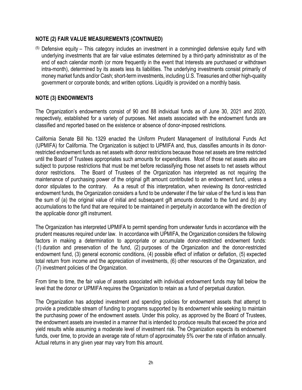(5) Defensive equity – This category includes an investment in a commingled defensive equity fund with underlying investments that are fair value estimates determined by a third-party administrator as of the end of each calendar month (or more frequently in the event that Interests are purchased or withdrawn intra-month), determined by its assets less its liabilities. The underlying investments consist primarily of money market funds and/or Cash; short-term investments, including U.S. Treasuries and other high-quality government or corporate bonds; and written options. Liquidity is provided on a monthly basis.

## **NOTE (3) ENDOWMENTS**

The Organization's endowments consist of 90 and 88 individual funds as of June 30, 2021 and 2020, respectively, established for a variety of purposes. Net assets associated with the endowment funds are classified and reported based on the existence or absence of donor-imposed restrictions.

California Senate Bill No. 1329 enacted the Uniform Prudent Management of Institutional Funds Act (UPMIFA) for California. The Organization is subject to UPMIFA and, thus, classifies amounts in its donorrestricted endowment funds as net assets with donor restrictions because those net assets are time restricted until the Board of Trustees appropriates such amounts for expenditures. Most of those net assets also are subject to purpose restrictions that must be met before reclassifying those net assets to net assets without donor restrictions. The Board of Trustees of the Organization has interpreted as not requiring the maintenance of purchasing power of the original gift amount contributed to an endowment fund, unless a donor stipulates to the contrary. As a result of this interpretation, when reviewing its donor-restricted endowment funds, the Organization considers a fund to be underwater if the fair value of the fund is less than the sum of (a) the original value of initial and subsequent gift amounts donated to the fund and (b) any accumulations to the fund that are required to be maintained in perpetuity in accordance with the direction of the applicable donor gift instrument.

The Organization has interpreted UPMIFA to permit spending from underwater funds in accordance with the prudent measures required under law. In accordance with UPMIFA, the Organization considers the following factors in making a determination to appropriate or accumulate donor-restricted endowment funds: (1) duration and preservation of the fund, (2) purposes of the Organization and the donor-restricted endowment fund, (3) general economic conditions, (4) possible effect of inflation or deflation, (5) expected total return from income and the appreciation of investments, (6) other resources of the Organization, and (7) investment policies of the Organization.

From time to time, the fair value of assets associated with individual endowment funds may fall below the level that the donor or UPMIFA requires the Organization to retain as a fund of perpetual duration.

The Organization has adopted investment and spending policies for endowment assets that attempt to provide a predictable stream of funding to programs supported by its endowment while seeking to maintain the purchasing power of the endowment assets. Under this policy, as approved by the Board of Trustees, the endowment assets are invested in a manner that is intended to produce results that exceed the price and yield results while assuming a moderate level of investment risk. The Organization expects its endowment funds, over time, to provide an average rate of return of approximately 5% over the rate of inflation annually. Actual returns in any given year may vary from this amount.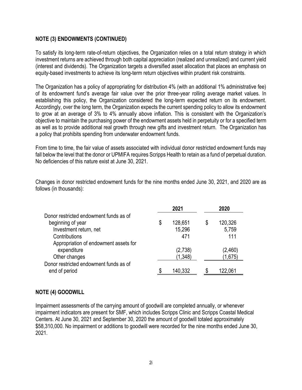#### **NOTE (3) ENDOWMENTS (CONTINUED)**

To satisfy its long-term rate-of-return objectives, the Organization relies on a total return strategy in which investment returns are achieved through both capital appreciation (realized and unrealized) and current yield (interest and dividends). The Organization targets a diversified asset allocation that places an emphasis on equity-based investments to achieve its long-term return objectives within prudent risk constraints.

The Organization has a policy of appropriating for distribution 4% (with an additional 1% administrative fee) of its endowment fund's average fair value over the prior three-year rolling average market values. In establishing this policy, the Organization considered the long-term expected return on its endowment. Accordingly, over the long term, the Organization expects the current spending policy to allow its endowment to grow at an average of 3% to 4% annually above inflation. This is consistent with the Organization's objective to maintain the purchasing power of the endowment assets held in perpetuity or for a specified term as well as to provide additional real growth through new gifts and investment return. The Organization has a policy that prohibits spending from underwater endowment funds.

From time to time, the fair value of assets associated with individual donor restricted endowment funds may fall below the level that the donor or UPMIFA requires Scripps Health to retain as a fund of perpetual duration. No deficiencies of this nature exist at June 30, 2021.

Changes in donor restricted endowment funds for the nine months ended June 30, 2021, and 2020 are as follows (in thousands):

|                                        | 2021 |          |   | 2020    |
|----------------------------------------|------|----------|---|---------|
| Donor restricted endowment funds as of |      |          |   |         |
| beginning of year                      | \$   | 128,651  | S | 120,326 |
| Investment return, net                 |      | 15,296   |   | 5,759   |
| Contributions                          |      | 471      |   | 111     |
| Appropriation of endowment assets for  |      |          |   |         |
| expenditure                            |      | (2,738)  |   | (2,460) |
| Other changes                          |      | (1, 348) |   | (1,675) |
| Donor restricted endowment funds as of |      |          |   |         |
| end of period                          |      | 140,332  |   | 122,061 |

#### **NOTE (4) GOODWILL**

Impairment assessments of the carrying amount of goodwill are completed annually, or whenever impairment indicators are present for SMF, which includes Scripps Clinic and Scripps Coastal Medical Centers. At June 30, 2021 and September 30, 2020 the amount of goodwill totaled approximately \$58,310,000. No impairment or additions to goodwill were recorded for the nine months ended June 30, 2021.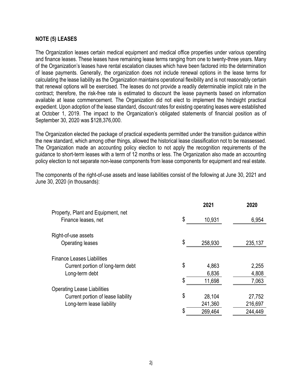#### **NOTE (5) LEASES**

The Organization leases certain medical equipment and medical office properties under various operating and finance leases. These leases have remaining lease terms ranging from one to twenty-three years. Many of the Organization's leases have rental escalation clauses which have been factored into the determination of lease payments. Generally, the organization does not include renewal options in the lease terms for calculating the lease liability as the Organization maintains operational flexibility and is not reasonably certain that renewal options will be exercised. The leases do not provide a readily determinable implicit rate in the contract; therefore, the risk-free rate is estimated to discount the lease payments based on information available at lease commencement. The Organization did not elect to implement the hindsight practical expedient. Upon adoption of the lease standard, discount rates for existing operating leases were established at October 1, 2019. The impact to the Organization's obligated statements of financial position as of September 30, 2020 was \$128,376,000.

The Organization elected the package of practical expedients permitted under the transition guidance within the new standard, which among other things, allowed the historical lease classification not to be reassessed. The Organization made an accounting policy election to not apply the recognition requirements of the guidance to short-term leases with a term of 12 months or less. The Organization also made an accounting policy election to not separate non-lease components from lease components for equipment and real estate.

The components of the right-of-use assets and lease liabilities consist of the following at June 30, 2021 and June 30, 2020 (in thousands):

|                                    | 2021          | 2020    |
|------------------------------------|---------------|---------|
| Property, Plant and Equipment, net |               |         |
| Finance leases, net                | \$<br>10,931  | 6,954   |
| Right-of-use assets                |               |         |
| <b>Operating leases</b>            | \$<br>258,930 | 235,137 |
| <b>Finance Leases Liabilities</b>  |               |         |
| Current portion of long-term debt  | \$<br>4,863   | 2,255   |
| Long-term debt                     | 6,836         | 4,808   |
|                                    | \$<br>11,698  | 7,063   |
| <b>Operating Lease Liabilities</b> |               |         |
| Current portion of lease liability | \$<br>28,104  | 27,752  |
| Long-term lease liability          | 241,360       | 216,697 |
|                                    | \$<br>269,464 | 244,449 |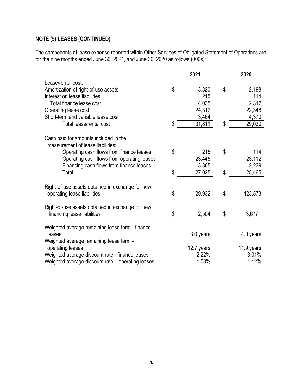# **NOTE (5) LEASES (CONTINUED)**

The components of lease expense reported within Other Services of Obligated Statement of Operations are for the nine months ended June 30, 2021, and June 30, 2020 as follows (000s):

|                                                                                 | 2021         | 2020          |
|---------------------------------------------------------------------------------|--------------|---------------|
| Lease/rental cost:                                                              |              |               |
| Amortization of right-of-use assets                                             | \$<br>3,820  | \$<br>2,198   |
| Interest on lease liabilities                                                   | 215          | 114           |
| Total finance lease cost                                                        | 4,035        | 2,312         |
| Operating lease cost                                                            | 24,312       | 22,348        |
| Short-term and variable lease cost                                              | 3,464        | 4,370         |
| Total lease/rental cost                                                         | \$<br>31,811 | \$<br>29,030  |
| Cash paid for amounts included in the<br>measurement of lease liabilities:      |              |               |
| Operating cash flows from finance leases                                        | \$<br>215    | \$<br>114     |
| Operating cash flows from operating leases                                      | 23,445       | 23,112        |
| Financing cash flows from finance leases                                        | 3,365        | 2,239         |
| Total                                                                           | \$<br>27,025 | \$<br>25,465  |
| Right-of-use assets obtained in exchange for new<br>operating lease liabilities | \$<br>29,932 | \$<br>123,573 |
| Right-of-use assets obtained in exchange for new<br>financing lease liabilities | \$<br>2,504  | \$<br>3,677   |
| Weighted average remaining lease term - finance<br>leases                       | 3.0 years    | 4.0 years     |
| Weighted average remaining lease term -                                         |              |               |
| operating leases                                                                | 12.7 years   | 11.9 years    |
| Weighted average discount rate - finance leases                                 | 2.22%        | 3.01%         |
| Weighted average discount rate - operating leases                               | 1.08%        | 1.12%         |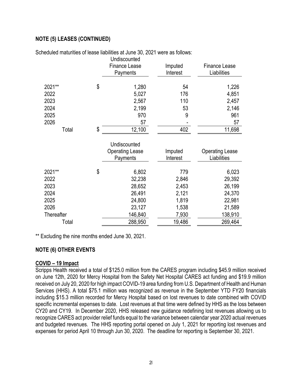# **NOTE (5) LEASES (CONTINUED)**

|            | Undiscounted           |                |                        |
|------------|------------------------|----------------|------------------------|
|            | <b>Finance Lease</b>   | Imputed        | Finance Lease          |
|            | Payments               | Interest       | Liabilities            |
| 2021**     | \$<br>1,280            | 54             | 1,226                  |
| 2022       | 5,027                  | 176            | 4,851                  |
| 2023       | 2,567                  | 110            | 2,457                  |
| 2024       | 2,199                  | 53             | 2,146                  |
| 2025       | 970                    | 9              | 961                    |
| 2026       | 57                     |                | 57                     |
| Total      | \$<br>12,100           | 402            | 11,698                 |
|            |                        |                |                        |
|            | Undiscounted           |                |                        |
|            | <b>Operating Lease</b> | Imputed        | <b>Operating Lease</b> |
|            | Payments               | Interest       | Liabilities            |
| 2021**     | \$<br>6,802            | 779            | 6,023                  |
| 2022       | 32,238                 | 2,846          | 29,392                 |
| 2023       | 28,652                 | 2,453          | 26,199                 |
|            |                        |                |                        |
| 2024       |                        |                |                        |
| 2025       | 26,491<br>24,800       | 2,121          | 24,370                 |
| 2026       | 23,127                 | 1,819<br>1,538 | 22,981<br>21,589       |
| Thereafter | 146,840                | 7,930          | 138,910                |

Scheduled maturities of lease liabilities at June 30, 2021 were as follows:

\*\* Excluding the nine months ended June 30, 2021.

### **NOTE (6) OTHER EVENTS**

#### **COVID – 19 Impact**

Scripps Health received a total of \$125.0 million from the CARES program including \$45.9 million received on June 12th, 2020 for Mercy Hospital from the Safety Net Hospital CARES act funding and \$19.9 million received on July 20, 2020 for high impact COVID-19 area funding from U.S. Department of Health and Human Services (HHS). A total \$75.1 million was recognized as revenue in the September YTD FY20 financials including \$15.3 million recorded for Mercy Hospital based on lost revenues to date combined with COVID specific incremental expenses to date. Lost revenues at that time were defined by HHS as the loss between CY20 and CY19. In December 2020, HHS released new guidance redefining lost revenues allowing us to recognize CARES act provider relief funds equal to the variance between calendar year 2020 actual revenues and budgeted revenues. The HHS reporting portal opened on July 1, 2021 for reporting lost revenues and expenses for period April 10 through Jun 30, 2020. The deadline for reporting is September 30, 2021.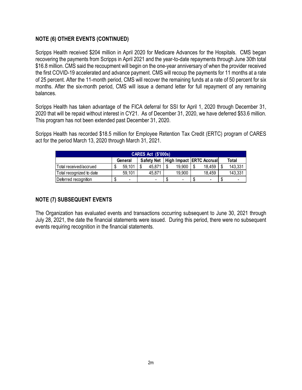## **NOTE (6) OTHER EVENTS (CONTINUED)**

Scripps Health received \$204 million in April 2020 for Medicare Advances for the Hospitals. CMS began recovering the payments from Scripps in April 2021 and the year-to-date repayments through June 30th total \$16.8 million. CMS said the recoupment will begin on the one-year anniversary of when the provider received the first COVID-19 accelerated and advance payment. CMS will recoup the payments for 11 months at a rate of 25 percent. After the 11-month period, CMS will recover the remaining funds at a rate of 50 percent for six months. After the six-month period, CMS will issue a demand letter for full repayment of any remaining balances.

Scripps Health has taken advantage of the FICA deferral for SSI for April 1, 2020 through December 31, 2020 that will be repaid without interest in CY21. As of December 31, 2020, we have deferred \$53.6 million. This program has not been extended past December 31, 2020.

Scripps Health has recorded \$18.5 million for Employee Retention Tax Credit (ERTC) program of CARES act for the period March 13, 2020 through March 31, 2021.

| <b>CARES Act (\$'000s)</b> |         |        |                   |        |  |        |                          |        |  |         |
|----------------------------|---------|--------|-------------------|--------|--|--------|--------------------------|--------|--|---------|
|                            | General |        | <b>Safety Net</b> |        |  |        | High Impact ERTC Accrual |        |  | Total   |
| Total received/accrued     |         | 59,101 | ¢                 | 45.871 |  | 19.900 |                          | 18.459 |  | 143,331 |
| Total recognized to date   |         | 59,101 |                   | 45.871 |  | 19,900 |                          | 18.459 |  | 143,331 |
| Deferred recognition       |         | -      |                   | -      |  |        | ۰D                       |        |  |         |

# **NOTE (7) SUBSEQUENT EVENTS**

The Organization has evaluated events and transactions occurring subsequent to June 30, 2021 through July 28, 2021, the date the financial statements were issued. During this period, there were no subsequent events requiring recognition in the financial statements.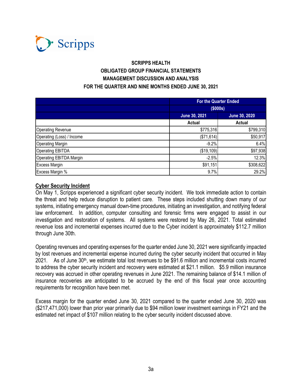

# **SCRIPPS HEALTH OBLIGATED GROUP FINANCIAL STATEMENTS MANAGEMENT DISCUSSION AND ANALYSIS FOR THE QUARTER AND NINE MONTHS ENDED JUNE 30, 2021**

|                           |               | <b>For the Quarter Ended</b> |  |  |  |  |
|---------------------------|---------------|------------------------------|--|--|--|--|
|                           | (\$000s)      |                              |  |  |  |  |
|                           | June 30, 2021 | June 30, 2020                |  |  |  |  |
|                           | Actual        | Actual                       |  |  |  |  |
| <b>Operating Revenue</b>  | \$775,316     | \$799,310                    |  |  |  |  |
| Operating (Loss) / Income | (\$71,614)    | \$50,917                     |  |  |  |  |
| <b>Operating Margin</b>   | $-9.2%$       | 6.4%                         |  |  |  |  |
| <b>Operating EBITDA</b>   | (\$19,109)    | \$97,938                     |  |  |  |  |
| Operating EBITDA Margin   | $-2.5%$       | 12.3%                        |  |  |  |  |
| <b>Excess Margin</b>      | \$91,151      | \$308,622                    |  |  |  |  |
| Excess Margin %           | 9.7%          | 29.2%                        |  |  |  |  |

#### **Cyber Security Incident**

On May 1, Scripps experienced a significant cyber security incident. We took immediate action to contain the threat and help reduce disruption to patient care. These steps included shutting down many of our systems, initiating emergency manual down-time procedures, initiating an investigation, and notifying federal law enforcement. In addition, computer consulting and forensic firms were engaged to assist in our investigation and restoration of systems. All systems were restored by May 26, 2021. Total estimated revenue loss and incremental expenses incurred due to the Cyber incident is approximately \$112.7 million through June 30th.

Operating revenues and operating expenses for the quarter ended June 30, 2021 were significantly impacted by lost revenues and incremental expense incurred during the cyber security incident that occurred in May  $2021.$  As of June  $30<sup>th</sup>$ , we estimate total lost revenues to be \$91.6 million and incremental costs incurred to address the cyber security incident and recovery were estimated at \$21.1 million. \$5.9 million insurance recovery was accrued in other operating revenues in June 2021. The remaining balance of \$14.1 million of insurance recoveries are anticipated to be accrued by the end of this fiscal year once accounting requirements for recognition have been met.

Excess margin for the quarter ended June 30, 2021 compared to the quarter ended June 30, 2020 was (\$217,471,000) lower than prior year primarily due to \$94 million lower investment earnings in FY21 and the estimated net impact of \$107 million relating to the cyber security incident discussed above.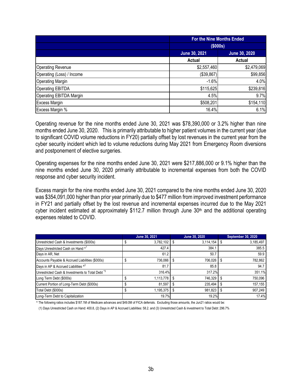|                           | For the Nine Months Ended |               |
|---------------------------|---------------------------|---------------|
|                           | (\$000s)                  |               |
|                           | June 30, 2021             | June 30, 2020 |
|                           | Actual                    | <b>Actual</b> |
| <b>Operating Revenue</b>  | \$2,557,460               | \$2,479,069   |
| Operating (Loss) / Income | (\$39,867)                | \$99,856      |
| <b>Operating Margin</b>   | $-1.6%$                   | 4.0%          |
| <b>Operating EBITDA</b>   | \$115,625                 | \$239,816     |
| Operating EBITDA Margin   | 4.5%                      | 9.7%          |
| <b>Excess Margin</b>      | \$508,201                 | \$154,110     |
| Excess Margin %           | 16.4%                     | 6.1%          |

Operating revenue for the nine months ended June 30, 2021 was \$78,390,000 or 3.2% higher than nine months ended June 30, 2020. This is primarily attributable to higher patient volumes in the current year (due to significant COVID volume reductions in FY20) partially offset by lost revenues in the current year from the cyber security incident which led to volume reductions during May 2021 from Emergency Room diversions and postponement of elective surgeries.

Operating expenses for the nine months ended June 30, 2021 were \$217,886,000 or 9.1% higher than the nine months ended June 30, 2020 primarily attributable to incremental expenses from both the COVID response and cyber security incident.

Excess margin for the nine months ended June 30, 2021 compared to the nine months ended June 30, 2020 was \$354,091,000 higher than prior year primarily due to \$477 million from improved investment performance in FY21 and partially offset by the lost revenue and incremental expenses incurred due to the May 2021 cyber incident estimated at approximately \$112.7 million through June 30<sup>th</sup> and the additional operating expenses related to COVID.

|                                                             | June 30, 2021  | June 30, 2020 | <b>September 30, 2020</b> |
|-------------------------------------------------------------|----------------|---------------|---------------------------|
| Unrestricted Cash & Investments (\$000s)                    | $3,782,102$ \$ | 3,114,154     | 3,185,497                 |
| Days Unrestricted Cash on Hand ^1                           | 427.4          | 384.1         | 385.5                     |
| Days in AR, Net                                             | 61.2           | 50.7          | 59.9                      |
| Accounts Payable & Accrued Liabilities (\$000s)             | 736.066        | 706,026       | 782,862                   |
| Days in AP & Accrued Liabilities ^2                         | 81.7           | 85.8          | 94.7                      |
| Unrestricted Cash & Investments to Total Debt <sup>43</sup> | 316.4%         | 317.2%        | 351.1%                    |
| Long Term Debt (\$000s)                                     | 1,113,778      | 746.329       | 750.096                   |
| Current Portion of Long-Term Debt (\$000s)                  | 81.597         | 235.494       | 157,155                   |
| Total Debt (\$000s)                                         | 1,195,375      | 981,823       | 907.249                   |
| Long-Term Debt to Capitalization                            | 19.7%          | 19.2%         | 17.4%                     |

^ The following ratios includes \$187.1M of Medicare advances and \$49.0M of FICA deferrals. Excluding those amounts, the Jun21 ratios would be:

(1) Days Unrestricted Cash on Hand: 400.8, (2) Days in AP & Accrued Liabilities: 58.2. and (3) Unrestricted Cash & investment to Total Debt: 296.7%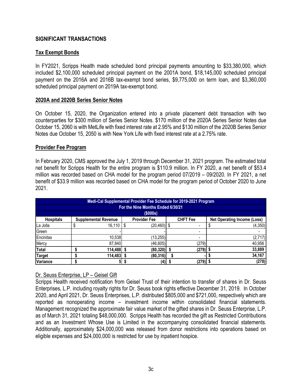## **SIGNIFICANT TRANSACTIONS**

## **Tax Exempt Bonds**

In FY2021, Scripps Health made scheduled bond principal payments amounting to \$33,380,000, which included \$2,100,000 scheduled principal payment on the 2001A bond, \$18,145,000 scheduled principal payment on the 2016A and 2016B tax-exempt bond series, \$9,775,000 on term loan, and \$3,360,000 scheduled principal payment on 2019A tax-exempt bond.

### **2020A and 2020B Series Senior Notes**

On October 15, 2020, the Organization entered into a private placement debt transaction with two counterparties for \$300 million of Series Senior Notes. \$170 million of the 2020A Series Senior Notes due October 15, 2060 is with MetLife with fixed interest rate at 2.95% and \$130 million of the 2020B Series Senior Notes due October 15, 2050 is with New York Life with fixed interest rate at a 2.75% rate.

#### **Provider Fee Program**

In February 2020, CMS approved the July 1, 2019 through December 31, 2021 program. The estimated total net benefit for Scripps Health for the entire program is \$110.9 million. In FY 2020, a net benefit of \$53.4 million was recorded based on CHA model for the program period 07/2019 – 09/2020. In FY 2021, a net benefit of \$33.9 million was recorded based on CHA model for the program period of October 2020 to June 2021.

| Medi-Cal Supplemental Provider Fee Schedule for 2019-2021 Program |                                   |                             |  |                     |  |                 |                                    |          |
|-------------------------------------------------------------------|-----------------------------------|-----------------------------|--|---------------------|--|-----------------|------------------------------------|----------|
|                                                                   | For the Nine Months Ended 6/30/21 |                             |  |                     |  |                 |                                    |          |
|                                                                   |                                   |                             |  | (\$000s)            |  |                 |                                    |          |
| <b>Hospitals</b>                                                  |                                   | <b>Supplemental Revenue</b> |  | <b>Provider Fee</b> |  | <b>CHFT Fee</b> | <b>Net Operating Income (Loss)</b> |          |
| La Jolla                                                          |                                   | $16,110$   \$               |  | (20,460)            |  |                 |                                    | (4, 350) |
| Green                                                             |                                   |                             |  |                     |  |                 |                                    |          |
| Encinitas                                                         |                                   | 10,538                      |  | (13, 255)           |  |                 |                                    | (2,717)  |
| Mercy                                                             |                                   | 87,840                      |  | (46.605)            |  | (279)           |                                    | 40,956   |
| <b>Total</b>                                                      |                                   | 114,488                     |  | (80, 320)           |  | $(279)$ \$      |                                    | 33,889   |
| <b>Target</b>                                                     |                                   | 114,483                     |  | (80, 316)           |  |                 |                                    | 34,167   |
| Variance                                                          |                                   | 5                           |  | (4)                 |  | (279)           |                                    | (278)    |

### Dr. Seuss Enterprise, LP – Geisel Gift

Scripps Health received notification from Geisel Trust of their intention to transfer of shares in Dr. Seuss Enterprises, L.P. including royalty rights for Dr. Seuss book rights effective December 31, 2019. In October 2020, and April 2021, Dr. Seuss Enterprises, L.P. distributed \$805,000 and \$721,000, respectively which are reported as nonoperating income – investment income within consolidated financial statements. Management recognized the approximate fair value market of the gifted shares in Dr. Seuss Enterprise, L.P. as of March 31, 2021 totaling \$48,000,000. Scripps Health has recorded the gift as Restricted Contributions and as an Investment Whose Use is Limited in the accompanying consolidated financial statements. Additionally, approximately \$24,000,000 was released from donor restrictions into operations based on eligible expenses and \$24,000,000 is restricted for use by inpatient hospice.